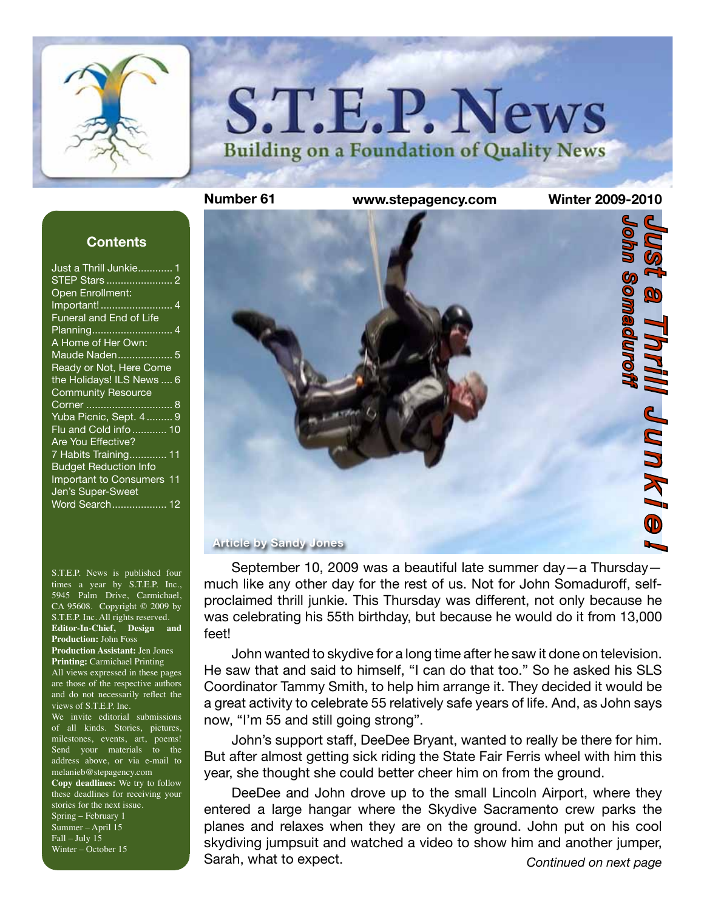

# **S.T.E.P. News Building on a Foundation of Quality News**

#### **Contents**

S.T.E.P. News is published four times a year by S.T.E.P. Inc., 5945 Palm Drive, Carmichael, CA 95608. Copyright © 2009 by S.T.E.P. Inc. All rights reserved. **Editor-In-Chief, Design and Production:** John Foss **Production Assistant:** Jen Jones **Printing:** Carmichael Printing All views expressed in these pages are those of the respective authors and do not necessarily reflect the views of S.T.E.P. Inc. We invite editorial submissions of all kinds. Stories, pictures, milestones, events, art, poems! Send your materials to the address above, or via e-mail to melanieb@stepagency.com **Copy deadlines:** We try to follow these deadlines for receiving your stories for the next issue. Spring – February 1 Summer – April 15 Fall – July 15 Winter – October 15



September 10, 2009 was a beautiful late summer day—a Thursday much like any other day for the rest of us. Not for John Somaduroff, selfproclaimed thrill junkie. This Thursday was different, not only because he was celebrating his 55th birthday, but because he would do it from 13,000 feet!

John wanted to skydive for a long time after he saw it done on television. He saw that and said to himself, "I can do that too." So he asked his SLS Coordinator Tammy Smith, to help him arrange it. They decided it would be a great activity to celebrate 55 relatively safe years of life. And, as John says now, "I'm 55 and still going strong".

John's support staff, DeeDee Bryant, wanted to really be there for him. But after almost getting sick riding the State Fair Ferris wheel with him this year, she thought she could better cheer him on from the ground.

*Continued on next page* DeeDee and John drove up to the small Lincoln Airport, where they entered a large hangar where the Skydive Sacramento crew parks the planes and relaxes when they are on the ground. John put on his cool skydiving jumpsuit and watched a video to show him and another jumper, Sarah, what to expect.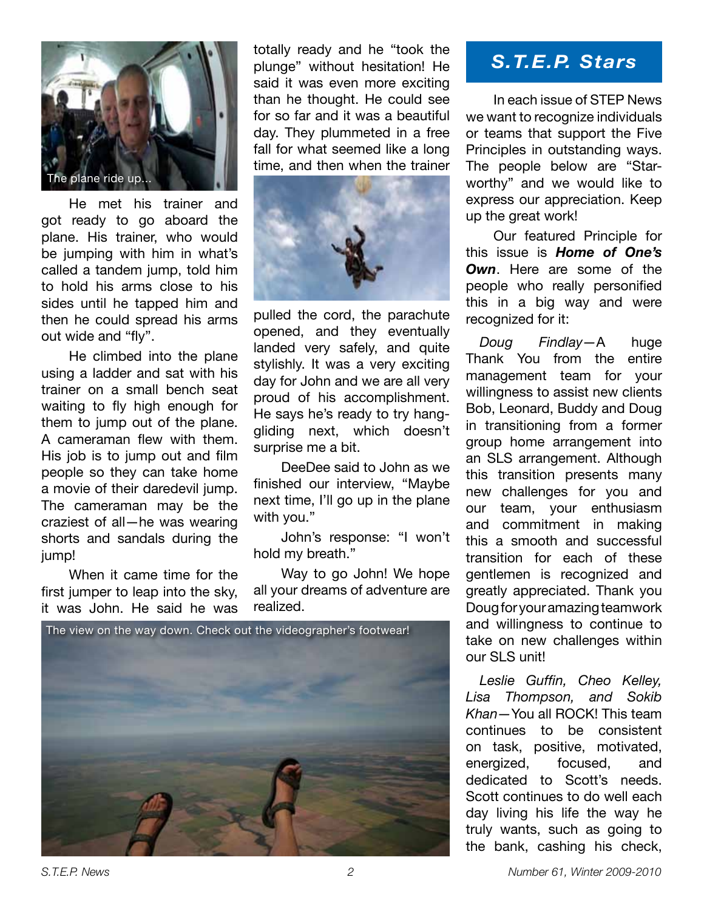

He met his trainer and got ready to go aboard the plane. His trainer, who would be jumping with him in what's called a tandem jump, told him to hold his arms close to his sides until he tapped him and then he could spread his arms out wide and "fly".

He climbed into the plane using a ladder and sat with his trainer on a small bench seat waiting to fly high enough for them to jump out of the plane. A cameraman flew with them. His job is to jump out and film people so they can take home a movie of their daredevil jump. The cameraman may be the craziest of all—he was wearing shorts and sandals during the jump!

When it came time for the first jumper to leap into the sky, it was John. He said he was totally ready and he "took the plunge" without hesitation! He said it was even more exciting than he thought. He could see for so far and it was a beautiful day. They plummeted in a free fall for what seemed like a long time, and then when the trainer



pulled the cord, the parachute opened, and they eventually landed very safely, and quite stylishly. It was a very exciting day for John and we are all very proud of his accomplishment. He says he's ready to try hanggliding next, which doesn't surprise me a bit.

DeeDee said to John as we finished our interview, "Maybe next time, I'll go up in the plane with you."

John's response: "I won't hold my breath."

Way to go John! We hope all your dreams of adventure are realized.



# *S.T.E.P. Stars*

In each issue of STEP News we want to recognize individuals or teams that support the Five Principles in outstanding ways. The people below are "Starworthy" and we would like to express our appreciation. Keep up the great work!

Our featured Principle for this issue is *Home of One's Own*. Here are some of the people who really personified this in a big way and were recognized for it:

*Doug Findlay—*A huge Thank You from the entire management team for your willingness to assist new clients Bob, Leonard, Buddy and Doug in transitioning from a former group home arrangement into an SLS arrangement. Although this transition presents many new challenges for you and our team, your enthusiasm and commitment in making this a smooth and successful transition for each of these gentlemen is recognized and greatly appreciated. Thank you Doug for your amazing teamwork and willingness to continue to take on new challenges within our SLS unit!

*Leslie Guffin, Cheo Kelley, Lisa Thompson, and Sokib Khan—*You all ROCK! This team continues to be consistent on task, positive, motivated, energized, focused, and dedicated to Scott's needs. Scott continues to do well each day living his life the way he truly wants, such as going to the bank, cashing his check,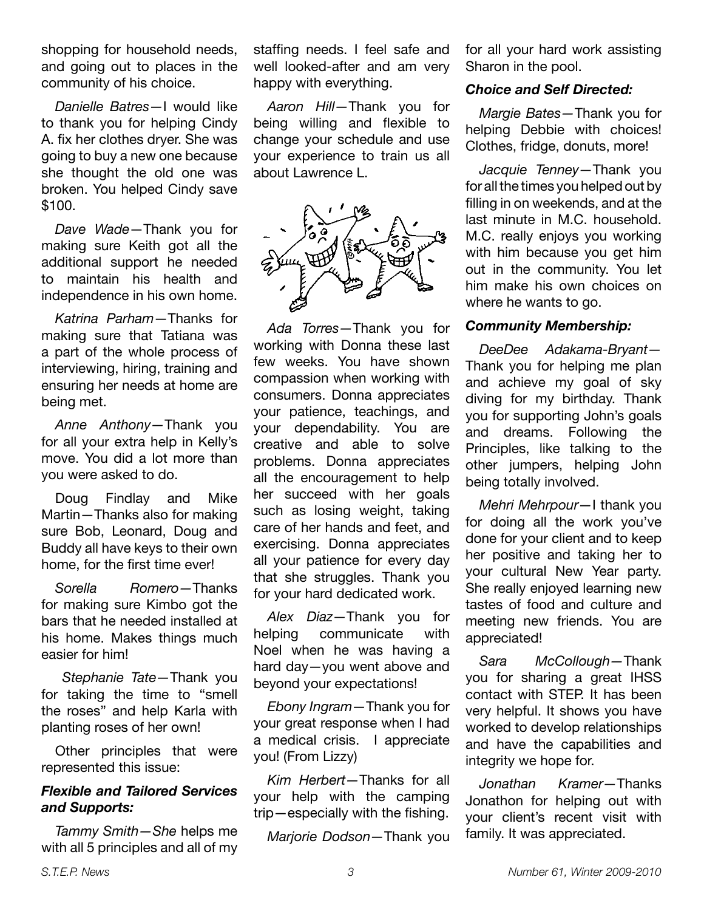shopping for household needs, and going out to places in the community of his choice.

*Danielle Batres*—I would like to thank you for helping Cindy A. fix her clothes dryer. She was going to buy a new one because she thought the old one was broken. You helped Cindy save \$100.

*Dave Wade*—Thank you for making sure Keith got all the additional support he needed to maintain his health and independence in his own home.

*Katrina Parham*—Thanks for making sure that Tatiana was a part of the whole process of interviewing, hiring, training and ensuring her needs at home are being met.

*Anne Anthony—*Thank you for all your extra help in Kelly's move. You did a lot more than you were asked to do.

Doug Findlay and Mike Martin—Thanks also for making sure Bob, Leonard, Doug and Buddy all have keys to their own home, for the first time ever!

*Sorella Romero—*Thanks for making sure Kimbo got the bars that he needed installed at his home. Makes things much easier for him!

*Stephanie Tate—*Thank you for taking the time to "smell the roses" and help Karla with planting roses of her own!

Other principles that were represented this issue:

## *Flexible and Tailored Services and Supports:*

*Tammy Smith—She* helps me with all 5 principles and all of my staffing needs. I feel safe and well looked-after and am very happy with everything.

*Aaron Hill—*Thank you for being willing and flexible to change your schedule and use your experience to train us all about Lawrence L.



*Ada Torres—*Thank you for working with Donna these last few weeks. You have shown compassion when working with consumers. Donna appreciates your patience, teachings, and your dependability. You are creative and able to solve problems. Donna appreciates all the encouragement to help her succeed with her goals such as losing weight, taking care of her hands and feet, and exercising. Donna appreciates all your patience for every day that she struggles. Thank you for your hard dedicated work.

*Alex Diaz—*Thank you for helping communicate with Noel when he was having a hard day—you went above and beyond your expectations!

*Ebony Ingram—*Thank you for your great response when I had a medical crisis. I appreciate you! (From Lizzy)

*Kim Herbert—*Thanks for all your help with the camping trip—especially with the fishing.

*Marjorie Dodson—*Thank you

for all your hard work assisting Sharon in the pool.

## *Choice and Self Directed:*

*Margie Bates—*Thank you for helping Debbie with choices! Clothes, fridge, donuts, more!

*Jacquie Tenney—*Thank you for all the times you helped out by filling in on weekends, and at the last minute in M.C. household. M.C. really enjoys you working with him because you get him out in the community. You let him make his own choices on where he wants to go.

## *Community Membership:*

*DeeDee Adakama-Bryant—* Thank you for helping me plan and achieve my goal of sky diving for my birthday. Thank you for supporting John's goals and dreams. Following the Principles, like talking to the other jumpers, helping John being totally involved.

*Mehri Mehrpour—*I thank you for doing all the work you've done for your client and to keep her positive and taking her to your cultural New Year party. She really enjoyed learning new tastes of food and culture and meeting new friends. You are appreciated!

*Sara McCollough—*Thank you for sharing a great IHSS contact with STEP. It has been very helpful. It shows you have worked to develop relationships and have the capabilities and integrity we hope for.

*Jonathan Kramer—*Thanks Jonathon for helping out with your client's recent visit with family. It was appreciated.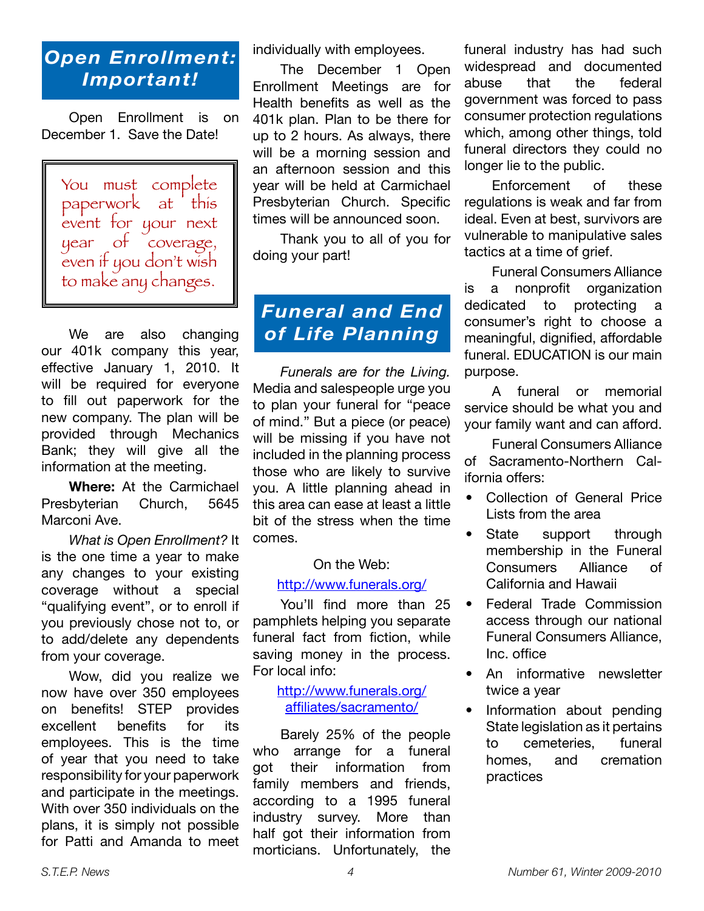# *Open Enrollment: Important!*

Open Enrollment is on December 1. Save the Date!

You must complete paperwork at this event for your next year of coverage, even if you don't wish to make any changes.

We are also changing our 401k company this year, effective January 1, 2010. It will be required for everyone to fill out paperwork for the new company. The plan will be provided through Mechanics Bank; they will give all the information at the meeting.

**Where:** At the Carmichael Presbyterian Church, 5645 Marconi Ave.

*What is Open Enrollment?* It is the one time a year to make any changes to your existing coverage without a special "qualifying event", or to enroll if you previously chose not to, or to add/delete any dependents from your coverage.

Wow, did you realize we now have over 350 employees on benefits! STEP provides excellent benefits for its employees. This is the time of year that you need to take responsibility for your paperwork and participate in the meetings. With over 350 individuals on the plans, it is simply not possible for Patti and Amanda to meet individually with employees.

The December 1 Open Enrollment Meetings are for Health benefits as well as the 401k plan. Plan to be there for up to 2 hours. As always, there will be a morning session and an afternoon session and this year will be held at Carmichael Presbyterian Church. Specific times will be announced soon.

Thank you to all of you for doing your part!

# *Funeral and End of Life Planning*

*Funerals are for the Living.*  Media and salespeople urge you to plan your funeral for "peace of mind." But a piece (or peace) will be missing if you have not included in the planning process those who are likely to survive you. A little planning ahead in this area can ease at least a little bit of the stress when the time comes.

## On the Web:

#### http://www.funerals.org/

You'll find more than 25 pamphlets helping you separate funeral fact from fiction, while saving money in the process. For local info:

> http://www.funerals.org/ affiliates/sacramento/

Barely 25% of the people who arrange for a funeral got their information from family members and friends, according to a 1995 funeral industry survey. More than half got their information from morticians. Unfortunately, the

funeral industry has had such widespread and documented abuse that the federal government was forced to pass consumer protection regulations which, among other things, told funeral directors they could no longer lie to the public.

Enforcement of these regulations is weak and far from ideal. Even at best, survivors are vulnerable to manipulative sales tactics at a time of grief.

Funeral Consumers Alliance is a nonprofit organization dedicated to protecting a consumer's right to choose a meaningful, dignified, affordable funeral. EDUCATION is our main purpose.

A funeral or memorial service should be what you and your family want and can afford.

Funeral Consumers Alliance of Sacramento-Northern California offers:

- Collection of General Price Lists from the area
- State support through membership in the Funeral Consumers Alliance of California and Hawaii
- Federal Trade Commission access through our national Funeral Consumers Alliance, Inc. office
- An informative newsletter twice a year
- Information about pending State legislation as it pertains to cemeteries, funeral homes, and cremation practices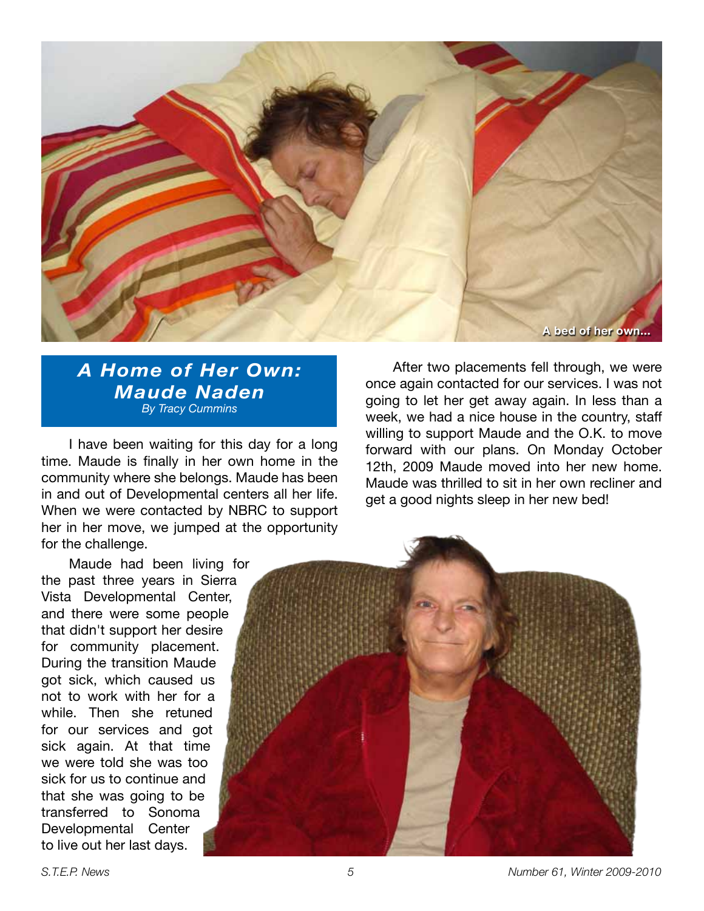

*A Home of Her Own: Maude Naden By Tracy Cummins*

I have been waiting for this day for a long time. Maude is finally in her own home in the community where she belongs. Maude has been in and out of Developmental centers all her life. When we were contacted by NBRC to support her in her move, we jumped at the opportunity for the challenge.

Maude had been living for the past three years in Sierra Vista Developmental Center, and there were some people that didn't support her desire for community placement. During the transition Maude got sick, which caused us not to work with her for a while. Then she retuned for our services and got sick again. At that time we were told she was too sick for us to continue and that she was going to be transferred to Sonoma Developmental Center to live out her last days.

After two placements fell through, we were once again contacted for our services. I was not going to let her get away again. In less than a week, we had a nice house in the country, staff willing to support Maude and the O.K. to move forward with our plans. On Monday October 12th, 2009 Maude moved into her new home. Maude was thrilled to sit in her own recliner and get a good nights sleep in her new bed!



*S.T.E.P. News 5 Number 61, Winter 2009-2010*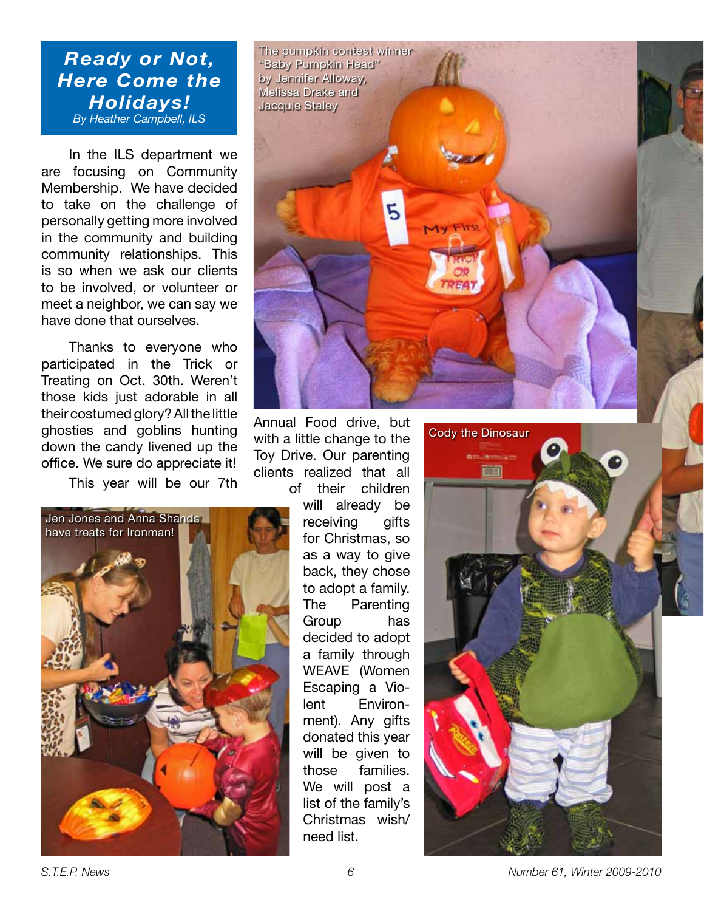## *Ready or Not, Here Come the Holidays! By Heather Campbell, ILS*

In the ILS department we are focusing on Community Membership. We have decided to take on the challenge of personally getting more involved in the community and building community relationships. This is so when we ask our clients to be involved, or volunteer or meet a neighbor, we can say we have done that ourselves.

Thanks to everyone who participated in the Trick or Treating on Oct. 30th. Weren't those kids just adorable in all their costumed glory? All the little ghosties and goblins hunting down the candy livened up the office. We sure do appreciate it!

This year will be our 7th





Annual Food drive, but with a little change to the Toy Drive. Our parenting clients realized that all of their children

will already be receiving gifts for Christmas, so as a way to give back, they chose to adopt a family. The Parenting Group has decided to adopt a family through WEAVE (Women Escaping a Violent Environment). Any gifts donated this year will be given to those families. We will post a list of the family's Christmas wish/ need list.



*S.T.E.P. News 6 Number 61, Winter 2009-2010*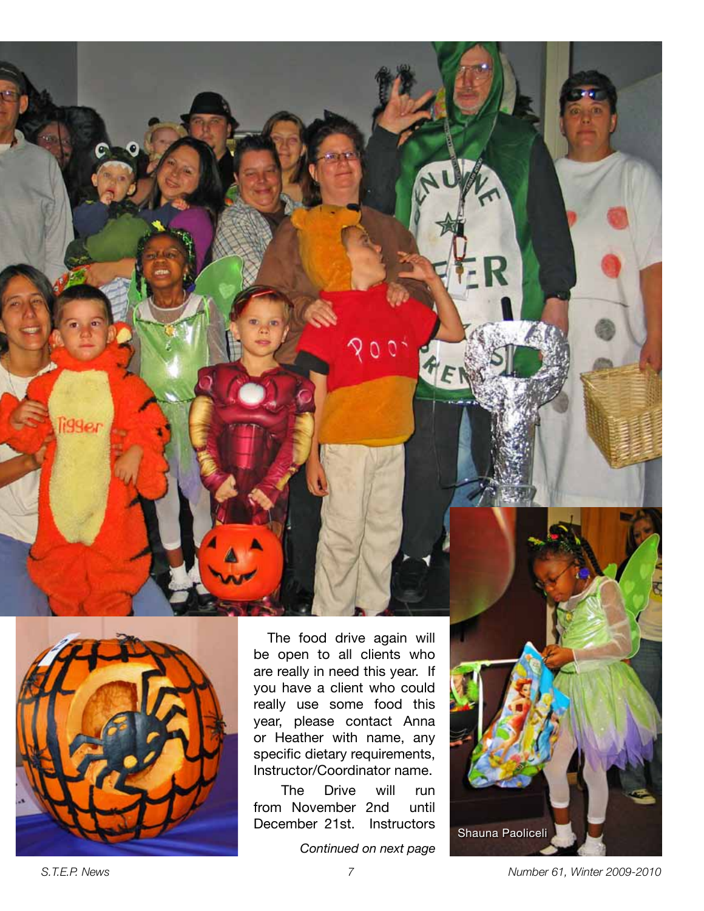



The food drive again will be open to all clients who are really in need this year. If you have a client who could really use some food this year, please contact Anna or Heather with name, any specific dietary requirements, Instructor/Coordinator name.

The Drive will run from November 2nd until December 21st. Instructors

*Continued on next page*

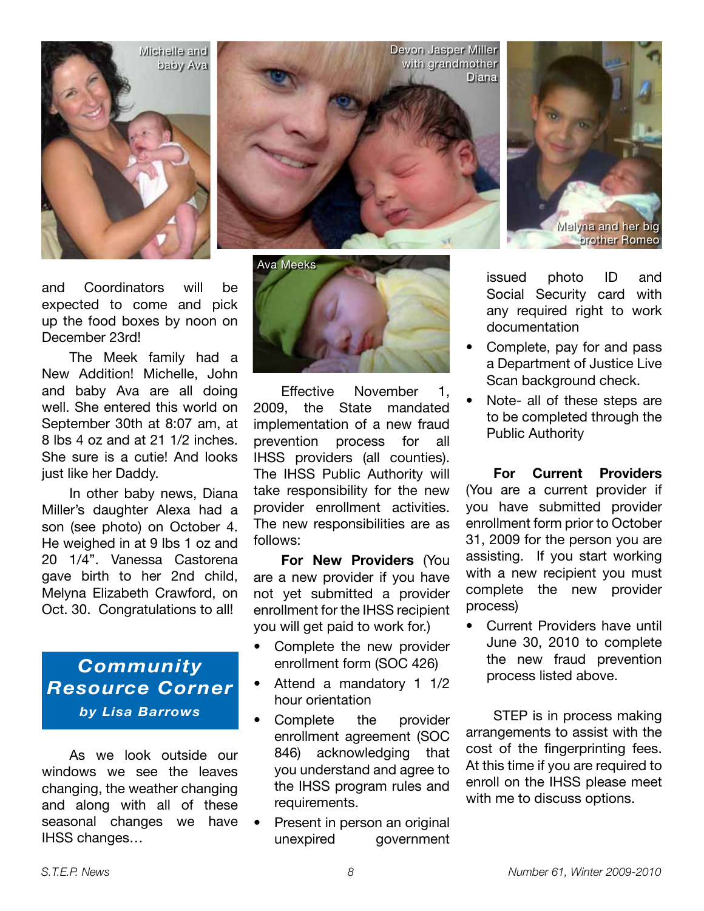

and Coordinators will be expected to come and pick up the food boxes by noon on December 23rd!

The Meek family had a New Addition! Michelle, John and baby Ava are all doing well. She entered this world on September 30th at 8:07 am, at 8 lbs 4 oz and at 21 1/2 inches. She sure is a cutie! And looks just like her Daddy.

In other baby news, Diana Miller's daughter Alexa had a son (see photo) on October 4. He weighed in at 9 lbs 1 oz and 20 1/4". Vanessa Castorena gave birth to her 2nd child, Melyna Elizabeth Crawford, on Oct. 30. Congratulations to all!

## *Community Resource Corner by Lisa Barrows*

As we look outside our windows we see the leaves changing, the weather changing and along with all of these seasonal changes we have IHSS changes…





Effective November 1, 2009, the State mandated implementation of a new fraud prevention process for all IHSS providers (all counties). The IHSS Public Authority will take responsibility for the new provider enrollment activities. The new responsibilities are as follows:

**For New Providers** (You are a new provider if you have not yet submitted a provider enrollment for the IHSS recipient you will get paid to work for.)

- Complete the new provider enrollment form (SOC 426)
- Attend a mandatory 1 1/2 hour orientation
- Complete the provider enrollment agreement (SOC 846) acknowledging that you understand and agree to the IHSS program rules and requirements.
- Present in person an original unexpired government

issued photo ID and Social Security card with any required right to work documentation

Melyna and her big brother Romeo

- Complete, pay for and pass a Department of Justice Live Scan background check.
- Note- all of these steps are to be completed through the Public Authority

**For Current Providers** (You are a current provider if you have submitted provider enrollment form prior to October 31, 2009 for the person you are assisting. If you start working with a new recipient you must complete the new provider process)

• Current Providers have until June 30, 2010 to complete the new fraud prevention process listed above.

STEP is in process making arrangements to assist with the cost of the fingerprinting fees. At this time if you are required to enroll on the IHSS please meet with me to discuss options.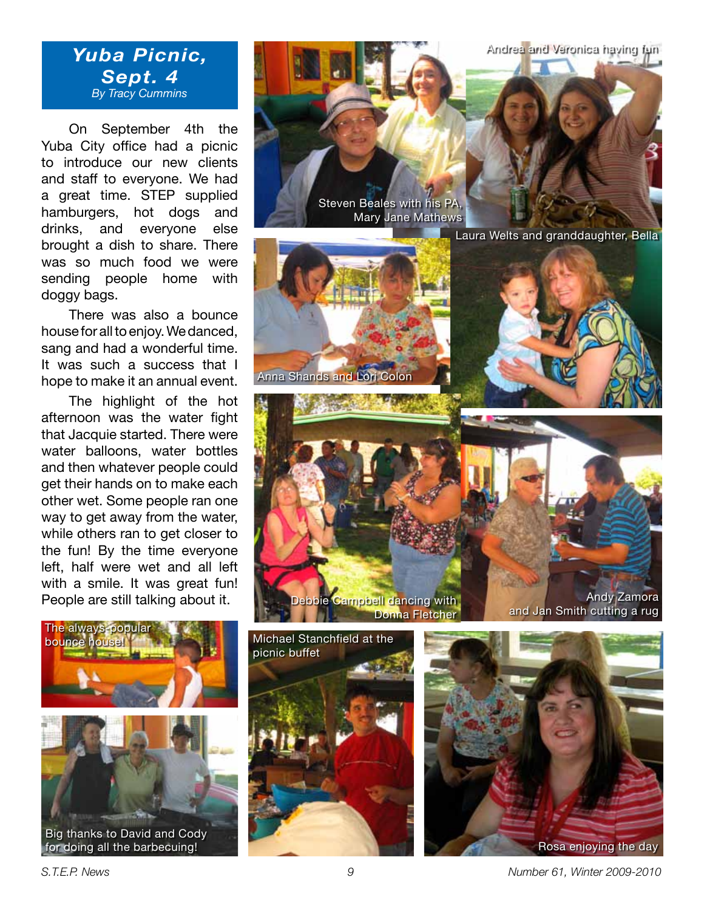Andrea and Veronica having fun

## *Yuba Picnic, Sept. 4 By Tracy Cummins*

On September 4th the Yuba City office had a picnic to introduce our new clients and staff to everyone. We had a great time. STEP supplied hamburgers, hot dogs and drinks, and everyone else brought a dish to share. There was so much food we were sending people home with doggy bags.

There was also a bounce house for all to enjoy. We danced, sang and had a wonderful time. It was such a success that I hope to make it an annual event.

The highlight of the hot afternoon was the water fight that Jacquie started. There were water balloons, water bottles and then whatever people could get their hands on to make each other wet. Some people ran one way to get away from the water, while others ran to get closer to the fun! By the time everyone left, half were wet and all left with a smile. It was great fun! People are still talking about it.



Big thanks to David and Cody



ie Campbell dancing with Donna Fletcher





*S.T.E.P. News 9 Number 61, Winter 2009-2010*

Andy Zamora

and Jan Smith cutting a rug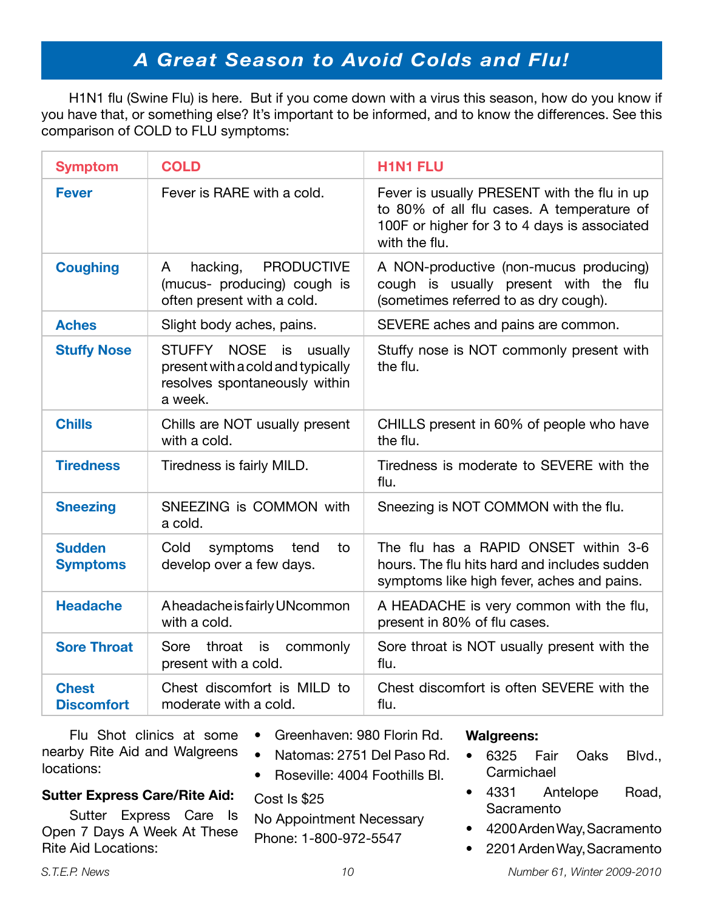# *A Great Season to Avoid Colds and Flu!*

H1N1 flu (Swine Flu) is here. But if you come down with a virus this season, how do you know if you have that, or something else? It's important to be informed, and to know the differences. See this comparison of COLD to FLU symptoms:

| <b>Symptom</b>                    | <b>COLD</b>                                                                                                   | <b>H1N1 FLU</b>                                                                                                                                           |
|-----------------------------------|---------------------------------------------------------------------------------------------------------------|-----------------------------------------------------------------------------------------------------------------------------------------------------------|
| <b>Fever</b>                      | Fever is RARE with a cold.                                                                                    | Fever is usually PRESENT with the flu in up<br>to 80% of all flu cases. A temperature of<br>100F or higher for 3 to 4 days is associated<br>with the flu. |
| <b>Coughing</b>                   | <b>PRODUCTIVE</b><br>hacking,<br>A<br>(mucus- producing) cough is<br>often present with a cold.               | A NON-productive (non-mucus producing)<br>cough is usually present with the flu<br>(sometimes referred to as dry cough).                                  |
| <b>Aches</b>                      | Slight body aches, pains.                                                                                     | SEVERE aches and pains are common.                                                                                                                        |
| <b>Stuffy Nose</b>                | STUFFY NOSE<br>is<br>usually<br>present with a cold and typically<br>resolves spontaneously within<br>a week. | Stuffy nose is NOT commonly present with<br>the flu.                                                                                                      |
| <b>Chills</b>                     | Chills are NOT usually present<br>with a cold.                                                                | CHILLS present in 60% of people who have<br>the flu.                                                                                                      |
| <b>Tiredness</b>                  | Tiredness is fairly MILD.                                                                                     | Tiredness is moderate to SEVERE with the<br>flu.                                                                                                          |
| <b>Sneezing</b>                   | SNEEZING is COMMON with<br>a cold.                                                                            | Sneezing is NOT COMMON with the flu.                                                                                                                      |
| <b>Sudden</b><br><b>Symptoms</b>  | Cold<br>symptoms<br>to<br>tend<br>develop over a few days.                                                    | The flu has a RAPID ONSET within 3-6<br>hours. The flu hits hard and includes sudden<br>symptoms like high fever, aches and pains.                        |
| <b>Headache</b>                   | Aheadache is fairly UNcommon<br>with a cold.                                                                  | A HEADACHE is very common with the flu,<br>present in 80% of flu cases.                                                                                   |
| <b>Sore Throat</b>                | Sore throat is<br>commonly<br>present with a cold.                                                            | Sore throat is NOT usually present with the<br>flu.                                                                                                       |
| <b>Chest</b><br><b>Discomfort</b> | Chest discomfort is MILD to<br>moderate with a cold.                                                          | Chest discomfort is often SEVERE with the<br>flu.                                                                                                         |

Flu Shot clinics at some nearby Rite Aid and Walgreens locations:

- Greenhaven: 980 Florin Rd.
- Natomas: 2751 Del Paso Rd.
- Roseville: 4004 Foothills Bl.

Cost Is \$25

No Appointment Necessary Phone: 1-800-972-5547

#### **Walgreens:**

- 6325 Fair Oaks Blvd., **Carmichael**
- 4331 Antelope Road, **Sacramento**
- 4200 Arden Way, Sacramento
- 2201 Arden Way, Sacramento

## **Sutter Express Care/Rite Aid:**

Sutter Express Care Is Open 7 Days A Week At These Rite Aid Locations: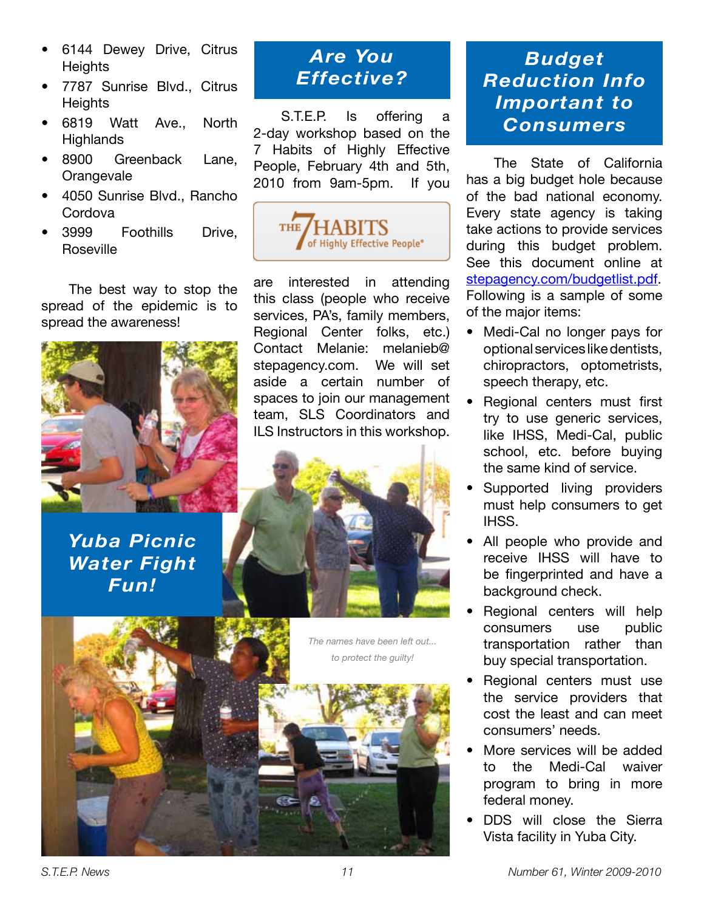- 6144 Dewey Drive, Citrus **Heights**
- 7787 Sunrise Blvd., Citrus **Heights**
- 6819 Watt Ave., North **Highlands**
- 8900 Greenback Lane, **Orangevale**
- 4050 Sunrise Blvd., Rancho **Cordova**
- 3999 Foothills Drive, Roseville

The best way to stop the spread of the epidemic is to spread the awareness!



*Yuba Picnic Water Fight Fun!*

# *Are You Effective?*

S.T.E.P. Is offering a 2-day workshop based on the 7 Habits of Highly Effective People, February 4th and 5th, 2010 from 9am-5pm. If you



are interested in attending this class (people who receive services, PA's, family members, Regional Center folks, etc.) Contact Melanie: melanieb@ stepagency.com. We will set aside a certain number of spaces to join our management team, SLS Coordinators and ILS Instructors in this workshop.





# *Budget Reduction Info Important to Consumers*

The State of California has a big budget hole because of the bad national economy. Every state agency is taking take actions to provide services during this budget problem. See this document online at stepagency.com/budgetlist.pdf. Following is a sample of some of the major items:

- Medi-Cal no longer pays for optional services like dentists, chiropractors, optometrists, speech therapy, etc.
- Regional centers must first try to use generic services, like IHSS, Medi-Cal, public school, etc. before buying the same kind of service.
- Supported living providers must help consumers to get IHSS.
- All people who provide and receive IHSS will have to be fingerprinted and have a background check.
- Regional centers will help consumers use public transportation rather than buy special transportation.
- Regional centers must use the service providers that cost the least and can meet consumers' needs.
- More services will be added to the Medi-Cal waiver program to bring in more federal money.
- DDS will close the Sierra Vista facility in Yuba City.